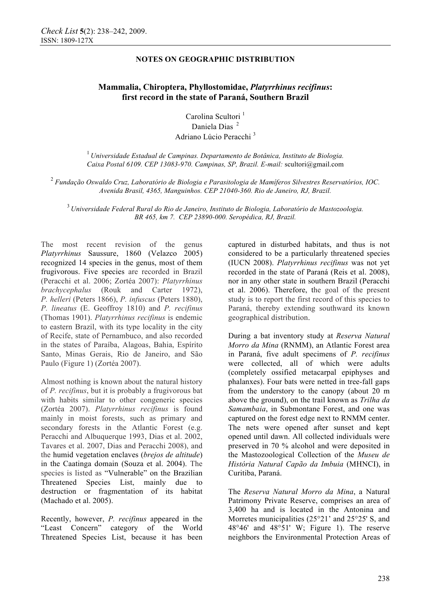# **Mammalia, Chiroptera, Phyllostomidae,** *Platyrrhinus recifinus***: first record in the state of Paraná, Southern Brazil**

Carolina Scultori<sup>1</sup> Daniela Dias<sup>2</sup> Adriano Lúcio Peracchi <sup>3</sup>

<sup>1</sup>*Universidade Estadual de Campinas. Departamento de Botânica, Instituto de Biologia. Caixa Postal 6109. CEP 13083-970. Campinas, SP, Brazil. E-mail:* scultori@gmail.com

2  *Fundação Oswaldo Cruz, Laboratório de Biologia e Parasitologia de Mamíferos Silvestres Reservatórios, IOC. Avenida Brasil, 4365, Manguinhos. CEP 21040-360. Rio de Janeiro, RJ, Brazil.* 

<sup>3</sup>*Universidade Federal Rural do Rio de Janeiro, Instituto de Biologia, Laboratório de Mastozoologia. BR 465, km 7. CEP 23890-000. Seropédica, RJ, Brazil.* 

The most recent revision of the genus *Platyrrhinus* Saussure, 1860 (Velazco 2005) recognized 14 species in the genus, most of them frugivorous. Five species are recorded in Brazil (Peracchi et al. 2006; Zortéa 2007): *Platyrrhinus brachycephalus* (Rouk and Carter 1972), *P. helleri* (Peters 1866), *P. infuscus* (Peters 1880), *P. lineatus* (E. Geoffroy 1810) and *P. recifinus* (Thomas 1901). *Platyrrhinus recifinus* is endemic to eastern Brazil, with its type locality in the city of Recife, state of Pernambuco, and also recorded in the states of Paraíba, Alagoas, Bahia, Espírito Santo, Minas Gerais, Rio de Janeiro, and São Paulo (Figure 1) (Zortéa 2007).

Almost nothing is known about the natural history of *P. recifinus*, but it is probably a frugivorous bat with habits similar to other congeneric species (Zortéa 2007). *Platyrrhinus recifinus* is found mainly in moist forests, such as primary and secondary forests in the Atlantic Forest (e.g. Peracchi and Albuquerque 1993, Dias et al. 2002, Tavares et al. 2007, Dias and Peracchi 2008), and the humid vegetation enclaves (*brejos de altitude*) in the Caatinga domain (Souza et al. 2004). The species is listed as "Vulnerable" on the Brazilian Threatened Species List, mainly due to destruction or fragmentation of its habitat (Machado et al. 2005).

Recently, however, *P. recifinus* appeared in the "Least Concern" category of the World Threatened Species List, because it has been

captured in disturbed habitats, and thus is not considered to be a particularly threatened species (IUCN 2008). *Platyrrhinus recifinus* was not yet recorded in the state of Paraná (Reis et al. 2008), nor in any other state in southern Brazil (Peracchi et al. 2006). Therefore, the goal of the present study is to report the first record of this species to Paraná, thereby extending southward its known geographical distribution.

During a bat inventory study at *Reserva Natural Morro da Mina* (RNMM), an Atlantic Forest area in Paraná, five adult specimens of *P. recifinus* were collected, all of which were adults (completely ossified metacarpal epiphyses and phalanxes). Four bats were netted in tree-fall gaps from the understory to the canopy (about 20 m above the ground), on the trail known as *Trilha da Samambaia*, in Submontane Forest, and one was captured on the forest edge next to RNMM center. The nets were opened after sunset and kept opened until dawn. All collected individuals were preserved in 70 % alcohol and were deposited in the Mastozoological Collection of the *Museu de História Natural Capão da Imbuia* (MHNCI), in Curitiba, Paraná.

The *Reserva Natural Morro da Mina*, a Natural Patrimony Private Reserve, comprises an area of 3,400 ha and is located in the Antonina and Morretes municipalities (25°21' and 25°25' S, and 48°46' and 48°51' W; Figure 1). The reserve neighbors the Environmental Protection Areas of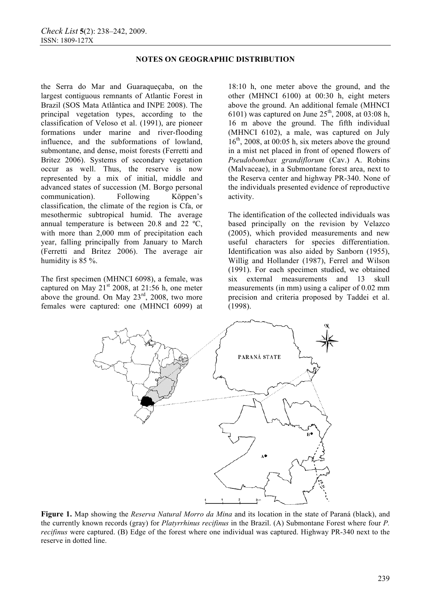the Serra do Mar and Guaraqueçaba, on the largest contiguous remnants of Atlantic Forest in Brazil (SOS Mata Atlântica and INPE 2008). The principal vegetation types, according to the classification of Veloso et al. (1991), are pioneer formations under marine and river-flooding influence, and the subformations of lowland, submontane, and dense, moist forests (Ferretti and Britez 2006). Systems of secondary vegetation occur as well. Thus, the reserve is now represented by a mix of initial, middle and advanced states of succession (M. Borgo personal communication). Following Köppen's classification, the climate of the region is Cfa, or mesothermic subtropical humid. The average annual temperature is between 20.8 and 22 ºC, with more than 2,000 mm of precipitation each year, falling principally from January to March (Ferretti and Britez 2006). The average air humidity is 85 %.

The first specimen (MHNCI 6098), a female, was captured on May  $21<sup>st</sup>$  2008, at 21:56 h, one meter above the ground. On May  $23^{rd}$ ,  $2008$ , two more females were captured: one (MHNCI 6099) at

18:10 h, one meter above the ground, and the other (MHNCI 6100) at 00:30 h, eight meters above the ground. An additional female (MHNCI 6101) was captured on June  $25^{th}$ , 2008, at 03:08 h, 16 m above the ground. The fifth individual (MHNCI 6102), a male, was captured on July  $16<sup>th</sup>$ , 2008, at 00:05 h, six meters above the ground in a mist net placed in front of opened flowers of *Pseudobombax grandiflorum* (Cav.) A. Robins (Malvaceae), in a Submontane forest area, next to the Reserva center and highway PR-340. None of the individuals presented evidence of reproductive activity.

The identification of the collected individuals was based principally on the revision by Velazco (2005), which provided measurements and new useful characters for species differentiation. Identification was also aided by Sanborn (1955), Willig and Hollander (1987), Ferrel and Wilson (1991). For each specimen studied, we obtained six external measurements and 13 skull measurements (in mm) using a caliper of 0.02 mm precision and criteria proposed by Taddei et al. (1998).



**Figure 1.** Map showing the *Reserva Natural Morro da Mina* and its location in the state of Paraná (black), and the currently known records (gray) for *Platyrrhinus recifinus* in the Brazil. (A) Submontane Forest where four *P. recifinus* were captured. (B) Edge of the forest where one individual was captured. Highway PR-340 next to the reserve in dotted line.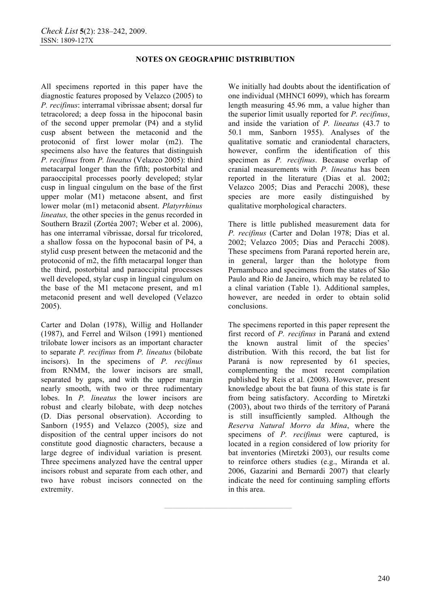**————————————————** 

All specimens reported in this paper have the diagnostic features proposed by Velazco (2005) to *P. recifinus*: interramal vibrissae absent; dorsal fur tetracolored; a deep fossa in the hipoconal basin of the second upper premolar (P4) and a stylid cusp absent between the metaconid and the protoconid of first lower molar (m2). The specimens also have the features that distinguish *P. recifinus* from *P. lineatus* (Velazco 2005): third metacarpal longer than the fifth; postorbital and paraoccipital processes poorly developed; stylar cusp in lingual cingulum on the base of the first upper molar (M1) metacone absent, and first lower molar (m1) metaconid absent. *Platyrrhinus lineatus*, the other species in the genus recorded in Southern Brazil (Zortéa 2007; Weber et al. 2006), has one interramal vibrissae, dorsal fur tricolored, a shallow fossa on the hypoconal basin of P4, a stylid cusp present between the metaconid and the protoconid of m2, the fifth metacarpal longer than the third, postorbital and paraoccipital processes well developed, stylar cusp in lingual cingulum on the base of the M1 metacone present, and m1 metaconid present and well developed (Velazco 2005).

Carter and Dolan (1978), Willig and Hollander (1987), and Ferrel and Wilson (1991) mentioned trilobate lower incisors as an important character to separate *P. recifinus* from *P. lineatus* (bilobate incisors). In the specimens of *P. recifinus*  from RNMM, the lower incisors are small, separated by gaps, and with the upper margin nearly smooth, with two or three rudimentary lobes. In *P. lineatus* the lower incisors are robust and clearly bilobate, with deep notches (D. Dias personal observation). According to Sanborn (1955) and Velazco (2005), size and disposition of the central upper incisors do not constitute good diagnostic characters, because a large degree of individual variation is present*.* Three specimens analyzed have the central upper incisors robust and separate from each other, and two have robust incisors connected on the extremity.

We initially had doubts about the identification of one individual (MHNCI 6099), which has forearm length measuring 45.96 mm, a value higher than the superior limit usually reported for *P. recifinus*, and inside the variation of *P. lineatus* (43.7 to 50.1 mm, Sanborn 1955). Analyses of the qualitative somatic and craniodental characters, however, confirm the identification of this specimen as *P. recifinus*. Because overlap of cranial measurements with *P. lineatus* has been reported in the literature (Dias et al. 2002; Velazco 2005; Dias and Peracchi 2008), these species are more easily distinguished by qualitative morphological characters.

There is little published measurement data for *P. recifinus* (Carter and Dolan 1978; Dias et al. 2002; Velazco 2005; Dias and Peracchi 2008). These specimens from Paraná reported herein are, in general, larger than the holotype from Pernambuco and specimens from the states of São Paulo and Rio de Janeiro, which may be related to a clinal variation (Table 1). Additional samples, however, are needed in order to obtain solid conclusions.

The specimens reported in this paper represent the first record of *P. recifinus* in Paraná and extend the known austral limit of the species' distribution. With this record, the bat list for Paraná is now represented by 61 species, complementing the most recent compilation published by Reis et al. (2008). However, present knowledge about the bat fauna of this state is far from being satisfactory. According to Miretzki (2003), about two thirds of the territory of Paraná is still insufficiently sampled. Although the *Reserva Natural Morro da Mina*, where the specimens of *P. recifinus* were captured, is located in a region considered of low priority for bat inventories (Miretzki 2003), our results come to reinforce others studies (e.g., Miranda et al. 2006, Gazarini and Bernardi 2007) that clearly indicate the need for continuing sampling efforts in this area.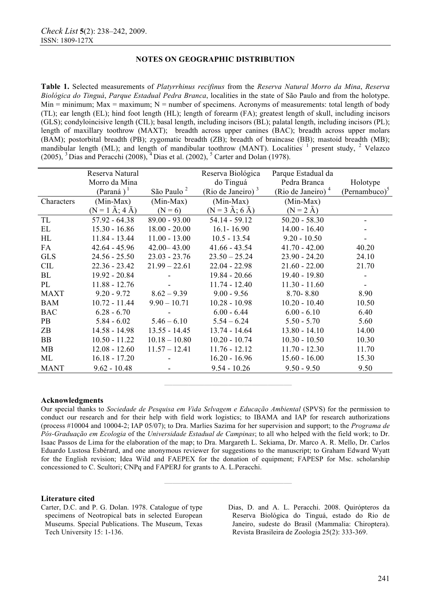**Table 1.** Selected measurements of *Platyrrhinus recifinus* from the *Reserva Natural Morro da Mina*, *Reserva Biológica do Tinguá*, *Parque Estadual Pedra Branca*, localities in the state of São Paulo and from the holotype. Min = minimum; Max = maximum; N = number of specimens. Acronyms of measurements: total length of body (TL); ear length (EL); hind foot length (HL); length of forearm (FA); greatest length of skull, including incisors (GLS); condyloincisive length (CIL); basal length, including incisors (BL); palatal length, including incisors (PL); length of maxillary toothrow (MAXT); breadth across upper canines (BAC); breadth across upper molars (BAM); postorbital breadth (PB); zygomatic breadth (ZB); breadth of braincase (BB); mastoid breadth (MB); mandibular length (ML); and length of mandibular toothrow (MANT). Localities  $\frac{1}{1}$  present study,  $\frac{2}{1}$  Velazco  $(2005)$ , <sup>3</sup> Dias and Peracchi  $(2008)$ , <sup>4</sup> Dias et al.  $(2002)$ , <sup>5</sup> Carter and Dolan (1978).

|             | Reserva Natural<br>Morro da Mina<br>$(Paramá)$ <sup>1</sup> | São Paulo <sup>2</sup> | Reserva Biológica<br>do Tinguá<br>(Rio de Janeiro) $3$ | Parque Estadual da<br>Pedra Branca<br>(Rio de Janeiro) <sup>4</sup> | Holotype<br>$(Pernambuco)^5$ |
|-------------|-------------------------------------------------------------|------------------------|--------------------------------------------------------|---------------------------------------------------------------------|------------------------------|
| Characters  | (Min-Max)                                                   | $(Min-Max)$            | $(Min-Max)$                                            | $(Min-Max)$                                                         |                              |
|             | $(N = 1 \text{ Å}; 4 \text{ Å})$                            | $(N = 6)$              | $(N = 3 \text{ Å}; 6 \text{ Å})$                       | $(N = 2 \text{ Å})$                                                 |                              |
| TL          | $57.92 - 64.38$                                             | $89.00 - 93.00$        | 54.14 - 59.12                                          | $50.20 - 58.30$                                                     |                              |
| EL          | $15.30 - 16.86$                                             | $18.00 - 20.00$        | $16.1 - 16.90$                                         | $14.00 - 16.40$                                                     |                              |
| HL          | $11.84 - 13.44$                                             | $11.00 - 13.00$        | $10.5 - 13.54$                                         | $9.20 - 10.50$                                                      |                              |
| FA          | $42.64 - 45.96$                                             | $42.00 - 43.00$        | $41.66 - 43.54$                                        | $41.70 - 42.00$                                                     | 40.20                        |
| <b>GLS</b>  | $24.56 - 25.50$                                             | $23.03 - 23.76$        | $23.50 - 25.24$                                        | $23.90 - 24.20$                                                     | 24.10                        |
| <b>CIL</b>  | $22.36 - 23.42$                                             | $21.99 - 22.61$        | $22.04 - 22.98$                                        | $21.60 - 22.00$                                                     | 21.70                        |
| BL          | 19.92 - 20.84                                               |                        | $19.84 - 20.66$                                        | $19.40 - 19.80$                                                     |                              |
| PL          | $11.88 - 12.76$                                             |                        | $11.74 - 12.40$                                        | $11.30 - 11.60$                                                     |                              |
| <b>MAXT</b> | $9.20 - 9.72$                                               | $8.62 - 9.39$          | $9.00 - 9.56$                                          | $8.70 - 8.80$                                                       | 8.90                         |
| <b>BAM</b>  | $10.72 - 11.44$                                             | $9.90 - 10.71$         | $10.28 - 10.98$                                        | $10.20 - 10.40$                                                     | 10.50                        |
| <b>BAC</b>  | $6.28 - 6.70$                                               |                        | $6.00 - 6.44$                                          | $6.00 - 6.10$                                                       | 6.40                         |
| PB          | $5.84 - 6.02$                                               | $5.46 - 6.10$          | $5.54 - 6.24$                                          | $5.50 - 5.70$                                                       | 5.60                         |
| ZB          | $14.58 - 14.98$                                             | $13.55 - 14.45$        | $13.74 - 14.64$                                        | $13.80 - 14.10$                                                     | 14.00                        |
| <b>BB</b>   | $10.50 - 11.22$                                             | $10.18 - 10.80$        | $10.20 - 10.74$                                        | $10.30 - 10.50$                                                     | 10.30                        |
| MB          | $12.08 - 12.60$                                             | $11.57 - 12.41$        | $11.76 - 12.12$                                        | $11.70 - 12.30$                                                     | 11.70                        |
| ML          | $16.18 - 17.20$                                             |                        | $16.20 - 16.96$                                        | $15.60 - 16.00$                                                     | 15.30                        |
| <b>MANT</b> | $9.62 - 10.48$                                              |                        | $9.54 - 10.26$                                         | $9.50 - 9.50$                                                       | 9.50                         |

### **Acknowledgments**

Our special thanks to *Sociedade de Pesquisa em Vida Selvagem e Educação Ambiental* (SPVS) for the permission to conduct our research and for their help with field work logistics; to IBAMA and IAP for research authorizations (process #10004 and 10004-2; IAP 05/07); to Dra. Marlies Sazima for her supervision and support; to the *Programa de Pós-Graduação em Ecologia* of the *Universidade Estadual de Campinas*; to all who helped with the field work; to Dr. Isaac Passos de Lima for the elaboration of the map; to Dra. Margareth L. Sekiama, Dr. Marco A. R. Mello, Dr. Carlos Eduardo Lustosa Esbérard, and one anonymous reviewer for suggestions to the manuscript; to Graham Edward Wyatt for the English revision; Idea Wild and FAEPEX for the donation of equipment; FAPESP for Msc. scholarship concessioned to C. Scultori; CNPq and FAPERJ for grants to A. L.Peracchi.

**————————————————** 

**————————————————** 

### **Literature cited**

- Carter, D.C. and P. G. Dolan. 1978. Catalogue of type specimens of Neotropical bats in selected European Museums. Special Publications. The Museum, Texas Tech University 15: 1-136.
- Dias, D. and A. L. Peracchi. 2008. Quirópteros da Reserva Biológica do Tinguá, estado do Rio de Janeiro, sudeste do Brasil (Mammalia: Chiroptera). Revista Brasileira de Zoologia 25(2): 333-369.